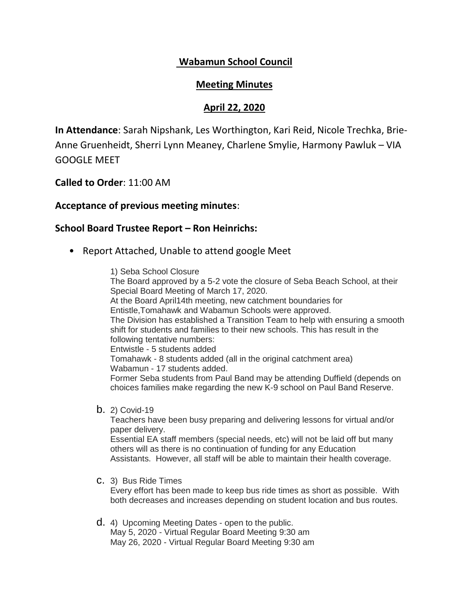## **Wabamun School Council**

#### **Meeting Minutes**

#### **April 22, 2020**

**In Attendance**: Sarah Nipshank, Les Worthington, Kari Reid, Nicole Trechka, Brie-Anne Gruenheidt, Sherri Lynn Meaney, Charlene Smylie, Harmony Pawluk – VIA GOOGLE MEET

**Called to Order**: 11:00 AM

#### **Acceptance of previous meeting minutes**:

#### **School Board Trustee Report – Ron Heinrichs:**

- Report Attached, Unable to attend google Meet
	- 1) Seba School Closure The Board approved by a 5-2 vote the closure of Seba Beach School, at their Special Board Meeting of March 17, 2020. At the Board April14th meeting, new catchment boundaries for Entistle,Tomahawk and Wabamun Schools were approved. The Division has established a Transition Team to help with ensuring a smooth shift for students and families to their new schools. This has result in the following tentative numbers: Entwistle - 5 students added Tomahawk - 8 students added (all in the original catchment area) Wabamun - 17 students added. Former Seba students from Paul Band may be attending Duffield (depends on choices families make regarding the new K-9 school on Paul Band Reserve.
	- b. 2) Covid-19

Teachers have been busy preparing and delivering lessons for virtual and/or paper delivery.

Essential EA staff members (special needs, etc) will not be laid off but many others will as there is no continuation of funding for any Education Assistants. However, all staff will be able to maintain their health coverage.

c. 3) Bus Ride Times

Every effort has been made to keep bus ride times as short as possible. With both decreases and increases depending on student location and bus routes.

d. 4) Upcoming Meeting Dates - open to the public. May 5, 2020 - Virtual Regular Board Meeting 9:30 am May 26, 2020 - Virtual Regular Board Meeting 9:30 am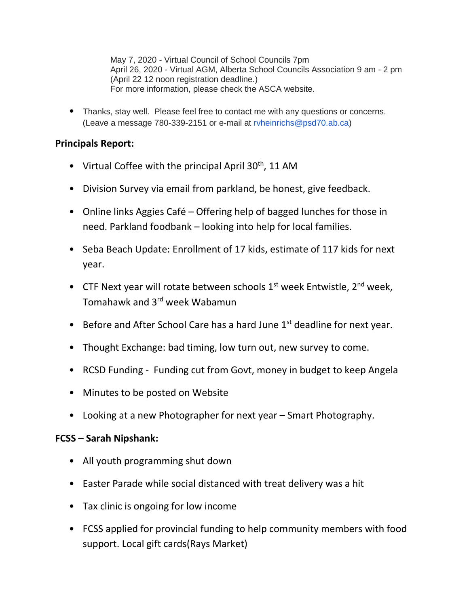May 7, 2020 - Virtual Council of School Councils 7pm April 26, 2020 - Virtual AGM, Alberta School Councils Association 9 am - 2 pm (April 22 12 noon registration deadline.) For more information, please check the ASCA website.

• Thanks, stay well. Please feel free to contact me with any questions or concerns. (Leave a message 780-339-2151 or e-mail at rvheinrichs@psd70.ab.ca)

## **Principals Report:**

- Virtual Coffee with the principal April 30<sup>th</sup>, 11 AM
- Division Survey via email from parkland, be honest, give feedback.
- Online links Aggies Café Offering help of bagged lunches for those in need. Parkland foodbank – looking into help for local families.
- Seba Beach Update: Enrollment of 17 kids, estimate of 117 kids for next year.
- CTF Next year will rotate between schools  $1^{st}$  week Entwistle,  $2^{nd}$  week, Tomahawk and 3rd week Wabamun
- Before and After School Care has a hard June  $1<sup>st</sup>$  deadline for next year.
- Thought Exchange: bad timing, low turn out, new survey to come.
- RCSD Funding Funding cut from Govt, money in budget to keep Angela
- Minutes to be posted on Website
- Looking at a new Photographer for next year Smart Photography.

## **FCSS – Sarah Nipshank:**

- All youth programming shut down
- Easter Parade while social distanced with treat delivery was a hit
- Tax clinic is ongoing for low income
- FCSS applied for provincial funding to help community members with food support. Local gift cards(Rays Market)